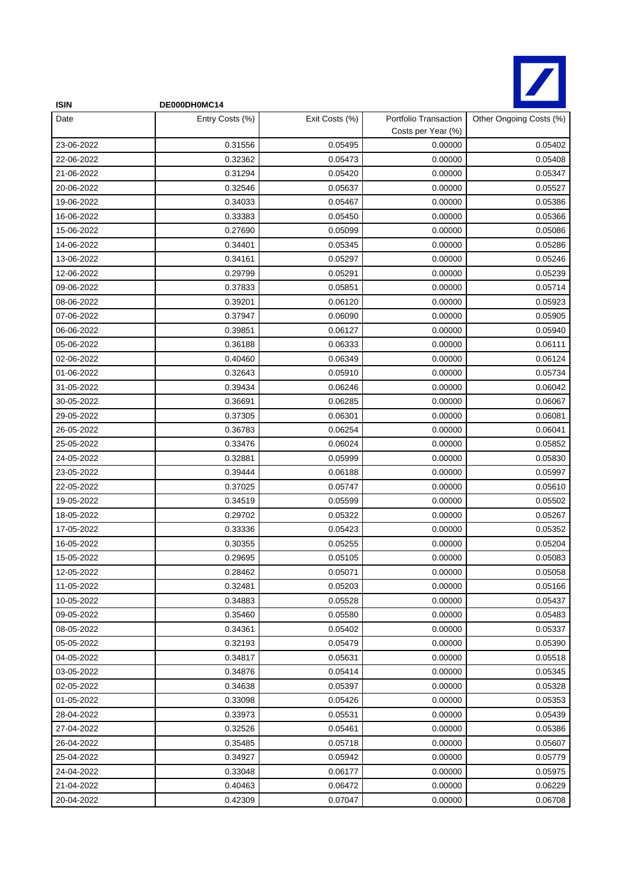

| <b>ISIN</b> | DE000DH0MC14    |                |                                             |                         |
|-------------|-----------------|----------------|---------------------------------------------|-------------------------|
| Date        | Entry Costs (%) | Exit Costs (%) | Portfolio Transaction<br>Costs per Year (%) | Other Ongoing Costs (%) |
| 23-06-2022  | 0.31556         | 0.05495        | 0.00000                                     | 0.05402                 |
| 22-06-2022  | 0.32362         | 0.05473        | 0.00000                                     | 0.05408                 |
| 21-06-2022  | 0.31294         | 0.05420        | 0.00000                                     | 0.05347                 |
| 20-06-2022  | 0.32546         | 0.05637        | 0.00000                                     | 0.05527                 |
| 19-06-2022  | 0.34033         | 0.05467        | 0.00000                                     | 0.05386                 |
| 16-06-2022  | 0.33383         | 0.05450        | 0.00000                                     | 0.05366                 |
| 15-06-2022  | 0.27690         | 0.05099        | 0.00000                                     | 0.05086                 |
| 14-06-2022  | 0.34401         | 0.05345        | 0.00000                                     | 0.05286                 |
| 13-06-2022  | 0.34161         | 0.05297        | 0.00000                                     | 0.05246                 |
| 12-06-2022  | 0.29799         | 0.05291        | 0.00000                                     | 0.05239                 |
| 09-06-2022  | 0.37833         | 0.05851        | 0.00000                                     | 0.05714                 |
| 08-06-2022  | 0.39201         | 0.06120        | 0.00000                                     | 0.05923                 |
| 07-06-2022  | 0.37947         | 0.06090        | 0.00000                                     | 0.05905                 |
| 06-06-2022  | 0.39851         | 0.06127        | 0.00000                                     | 0.05940                 |
| 05-06-2022  | 0.36188         | 0.06333        | 0.00000                                     | 0.06111                 |
| 02-06-2022  | 0.40460         | 0.06349        | 0.00000                                     | 0.06124                 |
| 01-06-2022  | 0.32643         | 0.05910        | 0.00000                                     | 0.05734                 |
| 31-05-2022  | 0.39434         | 0.06246        | 0.00000                                     | 0.06042                 |
| 30-05-2022  | 0.36691         | 0.06285        | 0.00000                                     | 0.06067                 |
| 29-05-2022  | 0.37305         | 0.06301        | 0.00000                                     | 0.06081                 |
| 26-05-2022  | 0.36783         | 0.06254        | 0.00000                                     | 0.06041                 |
| 25-05-2022  | 0.33476         | 0.06024        | 0.00000                                     | 0.05852                 |
| 24-05-2022  | 0.32881         | 0.05999        | 0.00000                                     | 0.05830                 |
| 23-05-2022  | 0.39444         | 0.06188        | 0.00000                                     | 0.05997                 |
| 22-05-2022  | 0.37025         | 0.05747        | 0.00000                                     | 0.05610                 |
| 19-05-2022  | 0.34519         | 0.05599        | 0.00000                                     | 0.05502                 |
| 18-05-2022  | 0.29702         | 0.05322        | 0.00000                                     | 0.05267                 |
| 17-05-2022  | 0.33336         | 0.05423        | 0.00000                                     | 0.05352                 |
| 16-05-2022  | 0.30355         | 0.05255        | 0.00000                                     | 0.05204                 |
| 15-05-2022  | 0.29695         | 0.05105        | 0.00000                                     | 0.05083                 |
| 12-05-2022  | 0.28462         | 0.05071        | 0.00000                                     | 0.05058                 |
| 11-05-2022  | 0.32481         | 0.05203        | 0.00000                                     | 0.05166                 |
| 10-05-2022  | 0.34883         | 0.05528        | 0.00000                                     | 0.05437                 |
| 09-05-2022  | 0.35460         | 0.05580        | 0.00000                                     | 0.05483                 |
| 08-05-2022  | 0.34361         | 0.05402        | 0.00000                                     | 0.05337                 |
| 05-05-2022  | 0.32193         | 0.05479        | 0.00000                                     | 0.05390                 |
| 04-05-2022  | 0.34817         | 0.05631        | 0.00000                                     | 0.05518                 |
| 03-05-2022  | 0.34876         | 0.05414        | 0.00000                                     | 0.05345                 |
| 02-05-2022  | 0.34638         | 0.05397        | 0.00000                                     | 0.05328                 |
| 01-05-2022  | 0.33098         | 0.05426        | 0.00000                                     | 0.05353                 |
| 28-04-2022  | 0.33973         | 0.05531        | 0.00000                                     | 0.05439                 |
| 27-04-2022  | 0.32526         | 0.05461        | 0.00000                                     | 0.05386                 |
| 26-04-2022  | 0.35485         | 0.05718        | 0.00000                                     | 0.05607                 |
| 25-04-2022  | 0.34927         | 0.05942        | 0.00000                                     | 0.05779                 |
| 24-04-2022  | 0.33048         | 0.06177        | 0.00000                                     | 0.05975                 |
| 21-04-2022  | 0.40463         | 0.06472        | 0.00000                                     | 0.06229                 |
| 20-04-2022  | 0.42309         | 0.07047        | 0.00000                                     | 0.06708                 |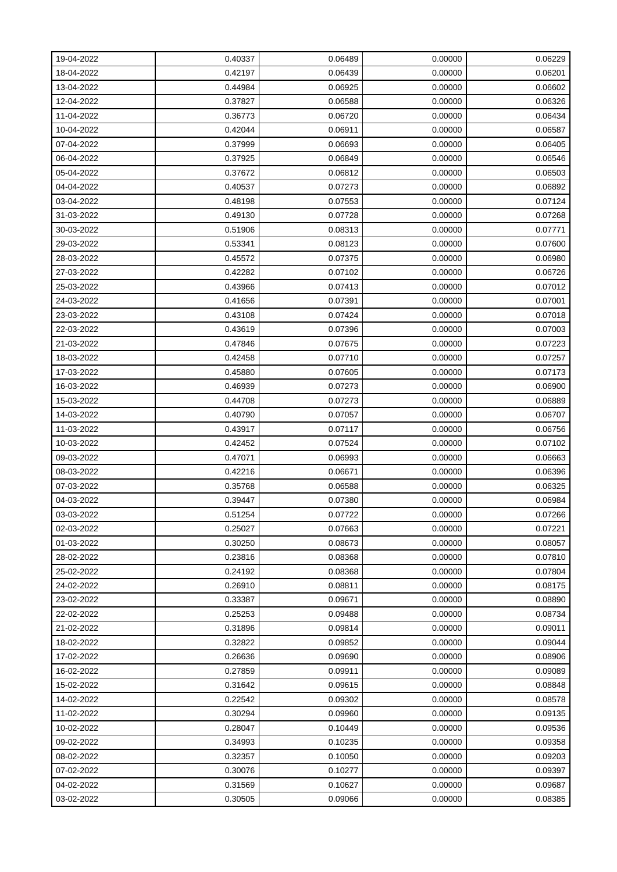| 19-04-2022 | 0.40337 | 0.06489 | 0.00000 | 0.06229 |
|------------|---------|---------|---------|---------|
| 18-04-2022 | 0.42197 | 0.06439 | 0.00000 | 0.06201 |
| 13-04-2022 | 0.44984 | 0.06925 | 0.00000 | 0.06602 |
| 12-04-2022 | 0.37827 | 0.06588 | 0.00000 | 0.06326 |
| 11-04-2022 | 0.36773 | 0.06720 | 0.00000 | 0.06434 |
| 10-04-2022 | 0.42044 | 0.06911 | 0.00000 | 0.06587 |
| 07-04-2022 | 0.37999 | 0.06693 | 0.00000 | 0.06405 |
| 06-04-2022 | 0.37925 | 0.06849 | 0.00000 | 0.06546 |
| 05-04-2022 | 0.37672 | 0.06812 | 0.00000 | 0.06503 |
| 04-04-2022 | 0.40537 | 0.07273 | 0.00000 | 0.06892 |
| 03-04-2022 | 0.48198 | 0.07553 | 0.00000 | 0.07124 |
| 31-03-2022 | 0.49130 | 0.07728 | 0.00000 | 0.07268 |
| 30-03-2022 | 0.51906 | 0.08313 | 0.00000 | 0.07771 |
| 29-03-2022 | 0.53341 | 0.08123 | 0.00000 | 0.07600 |
| 28-03-2022 | 0.45572 | 0.07375 | 0.00000 | 0.06980 |
| 27-03-2022 | 0.42282 | 0.07102 | 0.00000 | 0.06726 |
| 25-03-2022 | 0.43966 | 0.07413 | 0.00000 | 0.07012 |
| 24-03-2022 | 0.41656 | 0.07391 | 0.00000 | 0.07001 |
| 23-03-2022 | 0.43108 | 0.07424 | 0.00000 | 0.07018 |
| 22-03-2022 | 0.43619 | 0.07396 | 0.00000 | 0.07003 |
| 21-03-2022 | 0.47846 | 0.07675 | 0.00000 | 0.07223 |
| 18-03-2022 | 0.42458 | 0.07710 | 0.00000 | 0.07257 |
| 17-03-2022 | 0.45880 | 0.07605 | 0.00000 | 0.07173 |
| 16-03-2022 | 0.46939 | 0.07273 | 0.00000 | 0.06900 |
| 15-03-2022 | 0.44708 | 0.07273 | 0.00000 | 0.06889 |
| 14-03-2022 | 0.40790 | 0.07057 | 0.00000 | 0.06707 |
| 11-03-2022 | 0.43917 | 0.07117 | 0.00000 | 0.06756 |
| 10-03-2022 | 0.42452 | 0.07524 | 0.00000 | 0.07102 |
| 09-03-2022 | 0.47071 | 0.06993 | 0.00000 | 0.06663 |
| 08-03-2022 | 0.42216 | 0.06671 | 0.00000 | 0.06396 |
| 07-03-2022 | 0.35768 | 0.06588 | 0.00000 | 0.06325 |
| 04-03-2022 | 0.39447 | 0.07380 | 0.00000 | 0.06984 |
| 03-03-2022 | 0.51254 | 0.07722 | 0.00000 | 0.07266 |
| 02-03-2022 | 0.25027 | 0.07663 | 0.00000 | 0.07221 |
| 01-03-2022 | 0.30250 | 0.08673 | 0.00000 | 0.08057 |
| 28-02-2022 | 0.23816 | 0.08368 | 0.00000 | 0.07810 |
| 25-02-2022 | 0.24192 | 0.08368 | 0.00000 | 0.07804 |
| 24-02-2022 | 0.26910 | 0.08811 | 0.00000 | 0.08175 |
| 23-02-2022 | 0.33387 | 0.09671 | 0.00000 | 0.08890 |
| 22-02-2022 | 0.25253 | 0.09488 | 0.00000 | 0.08734 |
| 21-02-2022 | 0.31896 | 0.09814 | 0.00000 | 0.09011 |
| 18-02-2022 | 0.32822 | 0.09852 | 0.00000 | 0.09044 |
| 17-02-2022 | 0.26636 | 0.09690 | 0.00000 | 0.08906 |
| 16-02-2022 | 0.27859 | 0.09911 | 0.00000 | 0.09089 |
| 15-02-2022 | 0.31642 | 0.09615 | 0.00000 | 0.08848 |
| 14-02-2022 | 0.22542 | 0.09302 | 0.00000 | 0.08578 |
| 11-02-2022 | 0.30294 | 0.09960 | 0.00000 | 0.09135 |
| 10-02-2022 | 0.28047 | 0.10449 | 0.00000 | 0.09536 |
| 09-02-2022 | 0.34993 | 0.10235 | 0.00000 | 0.09358 |
| 08-02-2022 | 0.32357 | 0.10050 | 0.00000 | 0.09203 |
| 07-02-2022 | 0.30076 | 0.10277 | 0.00000 | 0.09397 |
| 04-02-2022 | 0.31569 | 0.10627 | 0.00000 | 0.09687 |
| 03-02-2022 | 0.30505 | 0.09066 | 0.00000 | 0.08385 |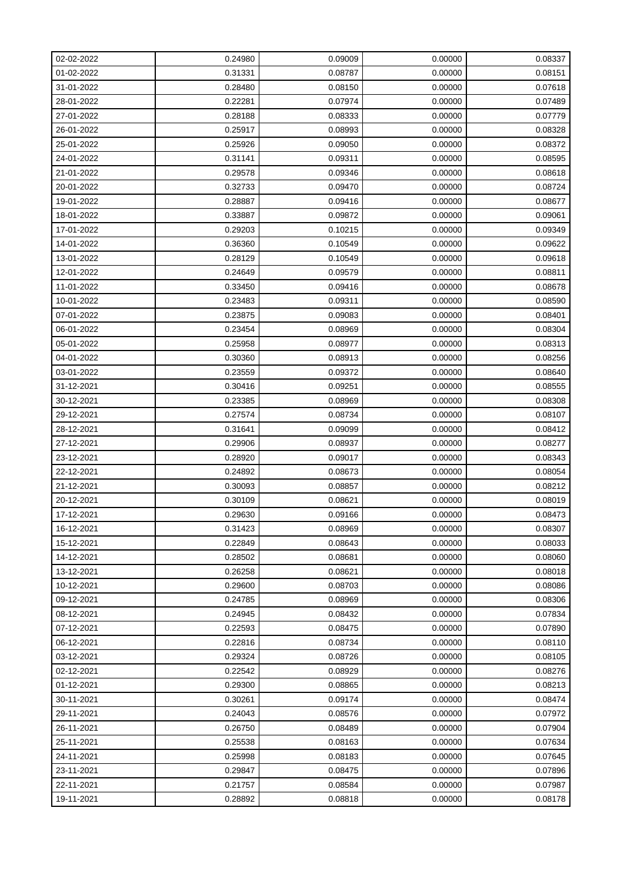| 02-02-2022 | 0.24980 | 0.09009 | 0.00000 | 0.08337 |
|------------|---------|---------|---------|---------|
| 01-02-2022 | 0.31331 | 0.08787 | 0.00000 | 0.08151 |
| 31-01-2022 | 0.28480 | 0.08150 | 0.00000 | 0.07618 |
| 28-01-2022 | 0.22281 | 0.07974 | 0.00000 | 0.07489 |
| 27-01-2022 | 0.28188 | 0.08333 | 0.00000 | 0.07779 |
| 26-01-2022 | 0.25917 | 0.08993 | 0.00000 | 0.08328 |
| 25-01-2022 | 0.25926 | 0.09050 | 0.00000 | 0.08372 |
| 24-01-2022 | 0.31141 | 0.09311 | 0.00000 | 0.08595 |
| 21-01-2022 | 0.29578 | 0.09346 | 0.00000 | 0.08618 |
| 20-01-2022 | 0.32733 | 0.09470 | 0.00000 | 0.08724 |
| 19-01-2022 | 0.28887 | 0.09416 | 0.00000 | 0.08677 |
| 18-01-2022 | 0.33887 | 0.09872 | 0.00000 | 0.09061 |
| 17-01-2022 | 0.29203 | 0.10215 | 0.00000 | 0.09349 |
| 14-01-2022 | 0.36360 | 0.10549 | 0.00000 | 0.09622 |
| 13-01-2022 | 0.28129 | 0.10549 | 0.00000 | 0.09618 |
| 12-01-2022 | 0.24649 | 0.09579 | 0.00000 | 0.08811 |
| 11-01-2022 | 0.33450 | 0.09416 | 0.00000 | 0.08678 |
| 10-01-2022 | 0.23483 | 0.09311 | 0.00000 | 0.08590 |
| 07-01-2022 | 0.23875 | 0.09083 | 0.00000 | 0.08401 |
| 06-01-2022 | 0.23454 | 0.08969 | 0.00000 | 0.08304 |
| 05-01-2022 | 0.25958 | 0.08977 | 0.00000 | 0.08313 |
| 04-01-2022 | 0.30360 | 0.08913 | 0.00000 | 0.08256 |
| 03-01-2022 | 0.23559 | 0.09372 | 0.00000 | 0.08640 |
| 31-12-2021 | 0.30416 | 0.09251 | 0.00000 | 0.08555 |
| 30-12-2021 | 0.23385 | 0.08969 | 0.00000 | 0.08308 |
| 29-12-2021 | 0.27574 | 0.08734 | 0.00000 | 0.08107 |
| 28-12-2021 | 0.31641 | 0.09099 | 0.00000 | 0.08412 |
| 27-12-2021 | 0.29906 | 0.08937 | 0.00000 | 0.08277 |
| 23-12-2021 | 0.28920 | 0.09017 | 0.00000 | 0.08343 |
| 22-12-2021 | 0.24892 | 0.08673 | 0.00000 | 0.08054 |
| 21-12-2021 | 0.30093 | 0.08857 | 0.00000 | 0.08212 |
| 20-12-2021 | 0.30109 | 0.08621 | 0.00000 | 0.08019 |
| 17-12-2021 | 0.29630 | 0.09166 | 0.00000 | 0.08473 |
| 16-12-2021 | 0.31423 | 0.08969 | 0.00000 | 0.08307 |
| 15-12-2021 | 0.22849 | 0.08643 | 0.00000 | 0.08033 |
| 14-12-2021 | 0.28502 | 0.08681 | 0.00000 | 0.08060 |
| 13-12-2021 | 0.26258 | 0.08621 | 0.00000 | 0.08018 |
| 10-12-2021 | 0.29600 | 0.08703 | 0.00000 | 0.08086 |
| 09-12-2021 | 0.24785 | 0.08969 | 0.00000 | 0.08306 |
| 08-12-2021 | 0.24945 | 0.08432 | 0.00000 | 0.07834 |
| 07-12-2021 | 0.22593 | 0.08475 | 0.00000 | 0.07890 |
| 06-12-2021 | 0.22816 | 0.08734 | 0.00000 | 0.08110 |
| 03-12-2021 | 0.29324 | 0.08726 | 0.00000 | 0.08105 |
| 02-12-2021 | 0.22542 | 0.08929 | 0.00000 | 0.08276 |
| 01-12-2021 | 0.29300 | 0.08865 | 0.00000 | 0.08213 |
| 30-11-2021 | 0.30261 | 0.09174 | 0.00000 | 0.08474 |
| 29-11-2021 | 0.24043 | 0.08576 | 0.00000 | 0.07972 |
| 26-11-2021 | 0.26750 | 0.08489 | 0.00000 | 0.07904 |
| 25-11-2021 | 0.25538 | 0.08163 | 0.00000 | 0.07634 |
| 24-11-2021 | 0.25998 | 0.08183 | 0.00000 | 0.07645 |
| 23-11-2021 | 0.29847 | 0.08475 | 0.00000 | 0.07896 |
| 22-11-2021 | 0.21757 | 0.08584 | 0.00000 | 0.07987 |
| 19-11-2021 | 0.28892 | 0.08818 | 0.00000 | 0.08178 |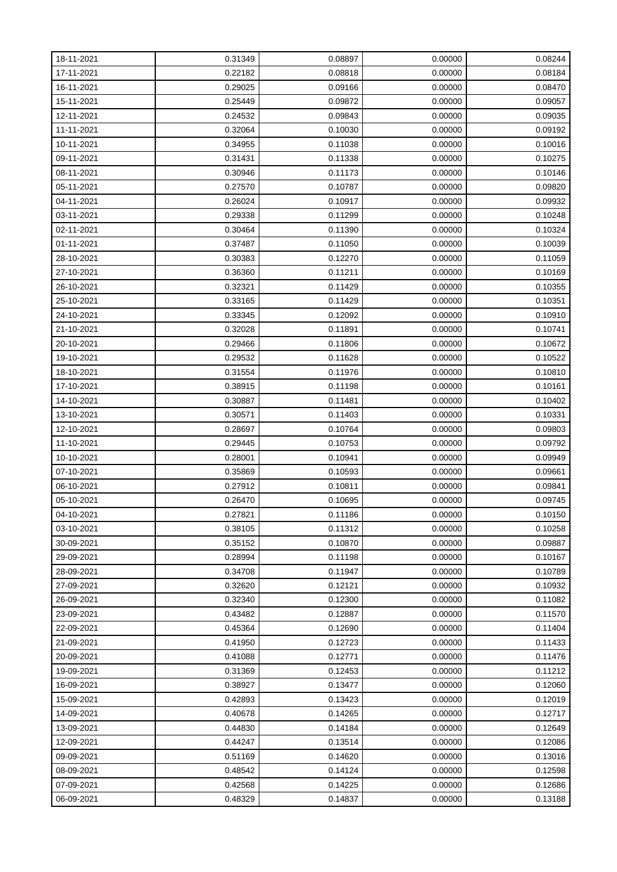| 18-11-2021 | 0.31349 | 0.08897 | 0.00000 | 0.08244 |
|------------|---------|---------|---------|---------|
| 17-11-2021 | 0.22182 | 0.08818 | 0.00000 | 0.08184 |
| 16-11-2021 | 0.29025 | 0.09166 | 0.00000 | 0.08470 |
| 15-11-2021 | 0.25449 | 0.09872 | 0.00000 | 0.09057 |
| 12-11-2021 | 0.24532 | 0.09843 | 0.00000 | 0.09035 |
| 11-11-2021 | 0.32064 | 0.10030 | 0.00000 | 0.09192 |
| 10-11-2021 | 0.34955 | 0.11038 | 0.00000 | 0.10016 |
| 09-11-2021 | 0.31431 | 0.11338 | 0.00000 | 0.10275 |
| 08-11-2021 | 0.30946 | 0.11173 | 0.00000 | 0.10146 |
| 05-11-2021 | 0.27570 | 0.10787 | 0.00000 | 0.09820 |
| 04-11-2021 | 0.26024 | 0.10917 | 0.00000 | 0.09932 |
| 03-11-2021 | 0.29338 | 0.11299 | 0.00000 | 0.10248 |
| 02-11-2021 | 0.30464 | 0.11390 | 0.00000 | 0.10324 |
| 01-11-2021 | 0.37487 | 0.11050 | 0.00000 | 0.10039 |
| 28-10-2021 | 0.30383 | 0.12270 | 0.00000 | 0.11059 |
| 27-10-2021 | 0.36360 | 0.11211 | 0.00000 | 0.10169 |
| 26-10-2021 | 0.32321 | 0.11429 | 0.00000 | 0.10355 |
| 25-10-2021 | 0.33165 | 0.11429 | 0.00000 | 0.10351 |
| 24-10-2021 | 0.33345 | 0.12092 | 0.00000 | 0.10910 |
| 21-10-2021 | 0.32028 | 0.11891 | 0.00000 | 0.10741 |
| 20-10-2021 | 0.29466 | 0.11806 | 0.00000 | 0.10672 |
| 19-10-2021 | 0.29532 | 0.11628 | 0.00000 | 0.10522 |
| 18-10-2021 | 0.31554 | 0.11976 | 0.00000 | 0.10810 |
| 17-10-2021 | 0.38915 | 0.11198 | 0.00000 | 0.10161 |
| 14-10-2021 | 0.30887 | 0.11481 | 0.00000 | 0.10402 |
| 13-10-2021 | 0.30571 | 0.11403 | 0.00000 | 0.10331 |
| 12-10-2021 | 0.28697 | 0.10764 | 0.00000 | 0.09803 |
| 11-10-2021 | 0.29445 | 0.10753 | 0.00000 | 0.09792 |
| 10-10-2021 | 0.28001 | 0.10941 | 0.00000 | 0.09949 |
| 07-10-2021 | 0.35869 | 0.10593 | 0.00000 | 0.09661 |
| 06-10-2021 | 0.27912 | 0.10811 | 0.00000 | 0.09841 |
| 05-10-2021 | 0.26470 | 0.10695 | 0.00000 | 0.09745 |
| 04-10-2021 | 0.27821 | 0.11186 | 0.00000 | 0.10150 |
| 03-10-2021 | 0.38105 | 0.11312 | 0.00000 | 0.10258 |
| 30-09-2021 | 0.35152 | 0.10870 | 0.00000 | 0.09887 |
| 29-09-2021 | 0.28994 | 0.11198 | 0.00000 | 0.10167 |
| 28-09-2021 | 0.34708 | 0.11947 | 0.00000 | 0.10789 |
| 27-09-2021 | 0.32620 | 0.12121 | 0.00000 | 0.10932 |
| 26-09-2021 | 0.32340 | 0.12300 | 0.00000 | 0.11082 |
| 23-09-2021 | 0.43482 | 0.12887 | 0.00000 | 0.11570 |
| 22-09-2021 | 0.45364 | 0.12690 | 0.00000 | 0.11404 |
| 21-09-2021 | 0.41950 | 0.12723 | 0.00000 | 0.11433 |
| 20-09-2021 | 0.41088 | 0.12771 | 0.00000 | 0.11476 |
| 19-09-2021 | 0.31369 | 0.12453 | 0.00000 | 0.11212 |
| 16-09-2021 | 0.38927 | 0.13477 | 0.00000 | 0.12060 |
| 15-09-2021 | 0.42893 | 0.13423 | 0.00000 | 0.12019 |
| 14-09-2021 | 0.40678 | 0.14265 | 0.00000 | 0.12717 |
| 13-09-2021 | 0.44830 | 0.14184 | 0.00000 | 0.12649 |
| 12-09-2021 | 0.44247 | 0.13514 | 0.00000 | 0.12086 |
| 09-09-2021 | 0.51169 | 0.14620 | 0.00000 | 0.13016 |
| 08-09-2021 | 0.48542 | 0.14124 | 0.00000 | 0.12598 |
| 07-09-2021 | 0.42568 | 0.14225 | 0.00000 | 0.12686 |
| 06-09-2021 | 0.48329 | 0.14837 | 0.00000 | 0.13188 |